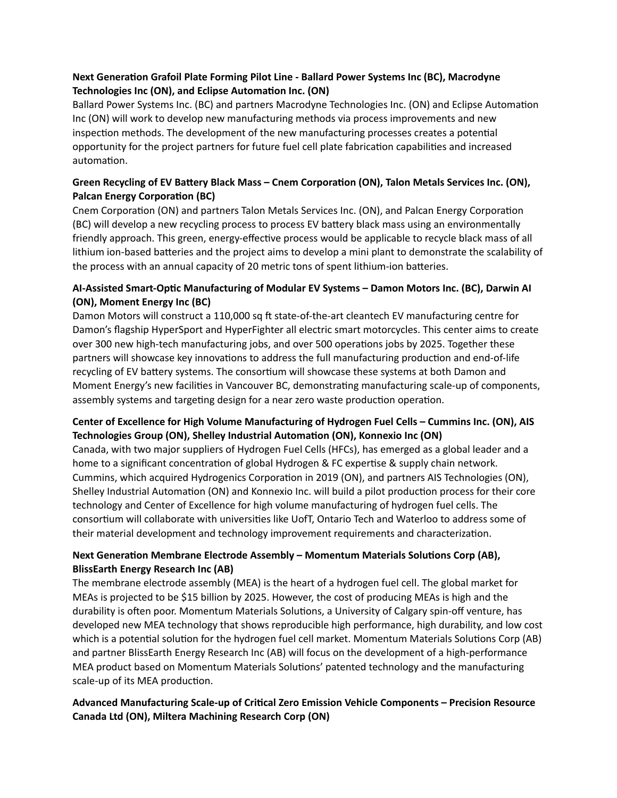# **Next Generation Grafoil Plate Forming Pilot Line - Ballard Power Systems Inc (BC), Macrodyne Technologies Inc (ON), and Eclipse Automation Inc. (ON)**

Ballard Power Systems Inc. (BC) and partners Macrodyne Technologies Inc. (ON) and Eclipse Automation Inc (ON) will work to develop new manufacturing methods via process improvements and new inspection methods. The development of the new manufacturing processes creates a potential opportunity for the project partners for future fuel cell plate fabrication capabilities and increased automation.

# **Green Recycling of EV Battery Black Mass – Cnem Corporation (ON), Talon Metals Services Inc. (ON), Palcan Energy Corporation (BC)**

Cnem Corporation (ON) and partners Talon Metals Services Inc. (ON), and Palcan Energy Corporation (BC) will develop a new recycling process to process EV battery black mass using an environmentally friendly approach. This green, energy-effective process would be applicable to recycle black mass of all lithium ion-based batteries and the project aims to develop a mini plant to demonstrate the scalability of the process with an annual capacity of 20 metric tons of spent lithium-ion batteries.

# **AI-Assisted Smart-Optic Manufacturing of Modular EV Systems – Damon Motors Inc. (BC), Darwin AI (ON), Moment Energy Inc (BC)**

Damon Motors will construct a 110,000 sq ft state-of-the-art cleantech EV manufacturing centre for Damon's flagship HyperSport and HyperFighter all electric smart motorcycles. This center aims to create over 300 new high-tech manufacturing jobs, and over 500 operations jobs by 2025. Together these partners will showcase key innovations to address the full manufacturing production and end-of-life recycling of EV battery systems. The consortium will showcase these systems at both Damon and Moment Energy's new facilities in Vancouver BC, demonstrating manufacturing scale-up of components, assembly systems and targeting design for a near zero waste production operation.

# **Center of Excellence for High Volume Manufacturing of Hydrogen Fuel Cells – Cummins Inc. (ON), AIS Technologies Group (ON), Shelley Industrial Automation (ON), Konnexio Inc (ON)**

Canada, with two major suppliers of Hydrogen Fuel Cells (HFCs), has emerged as a global leader and a home to a significant concentration of global Hydrogen & FC expertise & supply chain network. Cummins, which acquired Hydrogenics Corporation in 2019 (ON), and partners AIS Technologies (ON), Shelley Industrial Automation (ON) and Konnexio Inc. will build a pilot production process for their core technology and Center of Excellence for high volume manufacturing of hydrogen fuel cells. The consortium will collaborate with universities like UofT, Ontario Tech and Waterloo to address some of their material development and technology improvement requirements and characterization.

# **Next Generation Membrane Electrode Assembly – Momentum Materials Solutions Corp (AB), BlissEarth Energy Research Inc (AB)**

The membrane electrode assembly (MEA) is the heart of a hydrogen fuel cell. The global market for MEAs is projected to be \$15 billion by 2025. However, the cost of producing MEAs is high and the durability is often poor. Momentum Materials Solutions, a University of Calgary spin-off venture, has developed new MEA technology that shows reproducible high performance, high durability, and low cost which is a potential solution for the hydrogen fuel cell market. Momentum Materials Solutions Corp (AB) and partner BlissEarth Energy Research Inc (AB) will focus on the development of a high-performance MEA product based on Momentum Materials Solutions' patented technology and the manufacturing scale-up of its MEA production.

## **Advanced Manufacturing Scale-up of Critical Zero Emission Vehicle Components – Precision Resource Canada Ltd (ON), Miltera Machining Research Corp (ON)**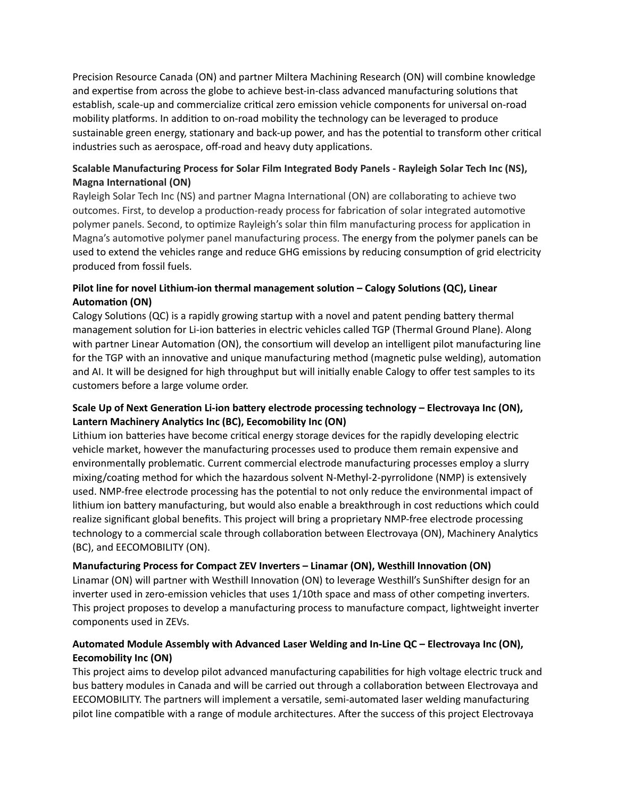Precision Resource Canada (ON) and partner Miltera Machining Research (ON) will combine knowledge and expertise from across the globe to achieve best-in-class advanced manufacturing solutions that establish, scale-up and commercialize critical zero emission vehicle components for universal on-road mobility platforms. In addition to on-road mobility the technology can be leveraged to produce sustainable green energy, stationary and back-up power, and has the potential to transform other critical industries such as aerospace, off-road and heavy duty applications.

## **Scalable Manufacturing Process for Solar Film Integrated Body Panels - Rayleigh Solar Tech Inc (NS), Magna International (ON)**

Rayleigh Solar Tech Inc (NS) and partner Magna International (ON) are collaborating to achieve two outcomes. First, to develop a production-ready process for fabrication of solar integrated automotive polymer panels. Second, to optimize Rayleigh's solar thin film manufacturing process for application in Magna's automotive polymer panel manufacturing process. The energy from the polymer panels can be used to extend the vehicles range and reduce GHG emissions by reducing consumption of grid electricity produced from fossil fuels.

## **Pilot line for novel Lithium-ion thermal management solution – Calogy Solutions (QC), Linear Automation (ON)**

Calogy Solutions (QC) is a rapidly growing startup with a novel and patent pending battery thermal management solution for Li-ion batteries in electric vehicles called TGP (Thermal Ground Plane). Along with partner Linear Automation (ON), the consortium will develop an intelligent pilot manufacturing line for the TGP with an innovative and unique manufacturing method (magnetic pulse welding), automation and AI. It will be designed for high throughput but will initially enable Calogy to offer test samples to its customers before a large volume order.

# **Scale Up of Next Generation Li-ion battery electrode processing technology – Electrovaya Inc (ON), Lantern Machinery Analytics Inc (BC), Eecomobility Inc (ON)**

Lithium ion batteries have become critical energy storage devices for the rapidly developing electric vehicle market, however the manufacturing processes used to produce them remain expensive and environmentally problematic. Current commercial electrode manufacturing processes employ a slurry mixing/coating method for which the hazardous solvent N-Methyl-2-pyrrolidone (NMP) is extensively used. NMP-free electrode processing has the potential to not only reduce the environmental impact of lithium ion battery manufacturing, but would also enable a breakthrough in cost reductions which could realize significant global benefits. This project will bring a proprietary NMP-free electrode processing technology to a commercial scale through collaboration between Electrovaya (ON), Machinery Analytics (BC), and EECOMOBILITY (ON).

**Manufacturing Process for Compact ZEV Inverters – Linamar (ON), Westhill Innovation (ON)**

Linamar (ON) will partner with Westhill Innovation (ON) to leverage Westhill's SunShifter design for an inverter used in zero-emission vehicles that uses 1/10th space and mass of other competing inverters. This project proposes to develop a manufacturing process to manufacture compact, lightweight inverter components used in ZEVs.

## **Automated Module Assembly with Advanced Laser Welding and In-Line QC – Electrovaya Inc (ON), Eecomobility Inc (ON)**

This project aims to develop pilot advanced manufacturing capabilities for high voltage electric truck and bus battery modules in Canada and will be carried out through a collaboration between Electrovaya and EECOMOBILITY. The partners will implement a versatile, semi-automated laser welding manufacturing pilot line compatible with a range of module architectures. After the success of this project Electrovaya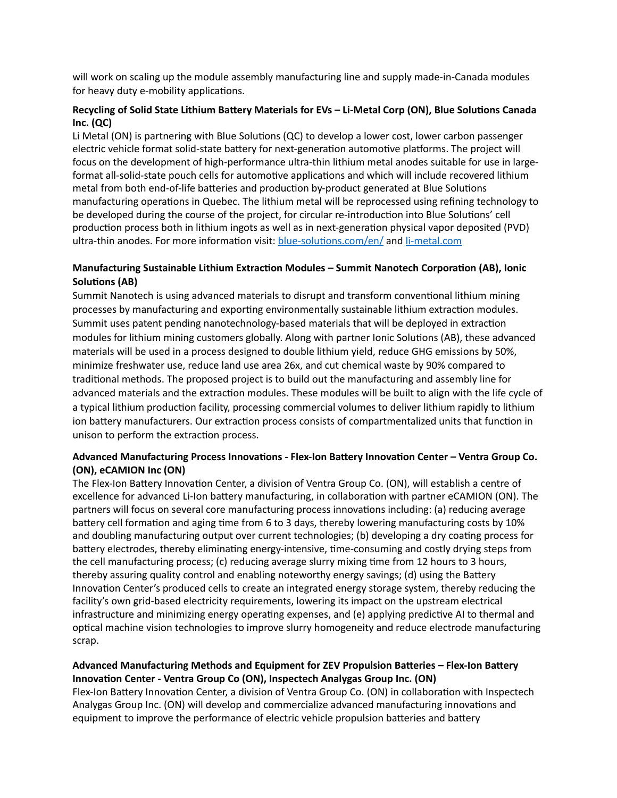will work on scaling up the module assembly manufacturing line and supply made-in-Canada modules for heavy duty e-mobility applications.

### **Recycling of Solid State Lithium Battery Materials for EVs – Li-Metal Corp (ON), Blue Solutions Canada Inc. (QC)**

Li Metal (ON) is partnering with Blue Solutions (QC) to develop a lower cost, lower carbon passenger electric vehicle format solid-state battery for next-generation automotive platforms. The project will focus on the development of high-performance ultra-thin lithium metal anodes suitable for use in largeformat all-solid-state pouch cells for automotive applications and which will include recovered lithium metal from both end-of-life batteries and production by-product generated at Blue Solutions manufacturing operations in Quebec. The lithium metal will be reprocessed using refining technology to be developed during the course of the project, for circular re-introduction into Blue Solutions' cell production process both in lithium ingots as well as in next-generation physical vapor deposited (PVD) ultra-thin anodes. For more information visit: [blue-solutions.com/en/](https://can01.safelinks.protection.outlook.com/?url=https://www.blue-solutions.com/en/&data=05%257C01%257Crobbie.macleod@ngen.ca%257Cd8e1928e631f4f06391708da22d3cdff%257C8077bb6492db43d890e588646c4a42af%257C0%257C0%257C637860590338127074%257CUnknown%257CTWFpbGZsb3d8eyJWIjoiMC4wLjAwMDAiLCJQIjoiV2luMzIiLCJBTiI6Ik1haWwiLCJXVCI6Mn0=%257C3000%257C%257C%257C&sdata=O1RbU7YpSwpYjQXI592NOIePzkMxpq8rWrUr6H7rPtQ=&reserved=0) and [li-metal.com](https://can01.safelinks.protection.outlook.com/?url=http://www.li-metal.com/&data=05%257C01%257Crobbie.macleod@ngen.ca%257Cd8e1928e631f4f06391708da22d3cdff%257C8077bb6492db43d890e588646c4a42af%257C0%257C0%257C637860590338127074%257CUnknown%257CTWFpbGZsb3d8eyJWIjoiMC4wLjAwMDAiLCJQIjoiV2luMzIiLCJBTiI6Ik1haWwiLCJXVCI6Mn0=%257C3000%257C%257C%257C&sdata=lN0eCGV4esGPpOXsu9eItwjhrzO1tW6NBNbRiEJ0m4s=&reserved=0)

## **Manufacturing Sustainable Lithium Extraction Modules – Summit Nanotech Corporation (AB), Ionic Solutions (AB)**

Summit Nanotech is using advanced materials to disrupt and transform conventional lithium mining processes by manufacturing and exporting environmentally sustainable lithium extraction modules. Summit uses patent pending nanotechnology-based materials that will be deployed in extraction modules for lithium mining customers globally. Along with partner Ionic Solutions (AB), these advanced materials will be used in a process designed to double lithium yield, reduce GHG emissions by 50%, minimize freshwater use, reduce land use area 26x, and cut chemical waste by 90% compared to traditional methods. The proposed project is to build out the manufacturing and assembly line for advanced materials and the extraction modules. These modules will be built to align with the life cycle of a typical lithium production facility, processing commercial volumes to deliver lithium rapidly to lithium ion battery manufacturers. Our extraction process consists of compartmentalized units that function in unison to perform the extraction process.

### **Advanced Manufacturing Process Innovations - Flex-Ion Battery Innovation Center – Ventra Group Co. (ON), eCAMION Inc (ON)**

The Flex-Ion Battery Innovation Center, a division of Ventra Group Co. (ON), will establish a centre of excellence for advanced Li-Ion battery manufacturing, in collaboration with partner eCAMION (ON). The partners will focus on several core manufacturing process innovations including: (a) reducing average battery cell formation and aging time from 6 to 3 days, thereby lowering manufacturing costs by 10% and doubling manufacturing output over current technologies; (b) developing a dry coating process for battery electrodes, thereby eliminating energy-intensive, time-consuming and costly drying steps from the cell manufacturing process; (c) reducing average slurry mixing time from 12 hours to 3 hours, thereby assuring quality control and enabling noteworthy energy savings; (d) using the Battery Innovation Center's produced cells to create an integrated energy storage system, thereby reducing the facility's own grid-based electricity requirements, lowering its impact on the upstream electrical infrastructure and minimizing energy operating expenses, and (e) applying predictive AI to thermal and optical machine vision technologies to improve slurry homogeneity and reduce electrode manufacturing scrap.

### **Advanced Manufacturing Methods and Equipment for ZEV Propulsion Batteries – Flex-Ion Battery Innovation Center - Ventra Group Co (ON), Inspectech Analygas Group Inc. (ON)**

Flex-Ion Battery Innovation Center, a division of Ventra Group Co. (ON) in collaboration with Inspectech Analygas Group Inc. (ON) will develop and commercialize advanced manufacturing innovations and equipment to improve the performance of electric vehicle propulsion batteries and battery